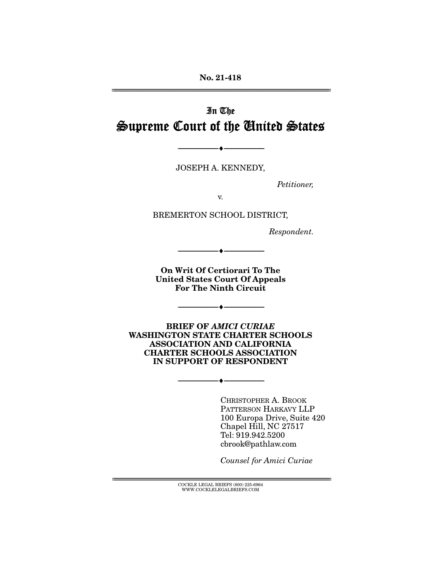**No. 21-418**  ================================================================================================================

# In The Supreme Court of the United States

JOSEPH A. KENNEDY,

--------------------------------- ♦ ---------------------------------

Petitioner,

v.

BREMERTON SCHOOL DISTRICT,

Respondent.

**On Writ Of Certiorari To The United States Court Of Appeals For The Ninth Circuit** 

 $\overbrace{\hspace{15em}}$   $\overbrace{\hspace{15em}}$ 

--------------------------------- ♦ ---------------------------------

**BRIEF OF** *AMICI CURIAE*  **WASHINGTON STATE CHARTER SCHOOLS ASSOCIATION AND CALIFORNIA CHARTER SCHOOLS ASSOCIATION IN SUPPORT OF RESPONDENT** 

--------------------------------- ♦ ---------------------------------

CHRISTOPHER A. BROOK PATTERSON HARKAVY LLP 100 Europa Drive, Suite 420 Chapel Hill, NC 27517 Tel: 919.942.5200 cbrook@pathlaw.com

Counsel for Amici Curiae

================================================================================================================ COCKLE LEGAL BRIEFS (800) 225-6964 WWW.COCKLELEGALBRIEFS.COM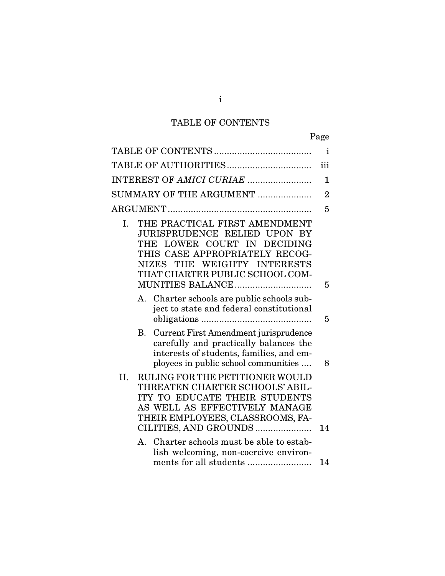# TABLE OF CONTENTS

|     |                                                                                                                                                                                                                                                       | $\mathbf{i}$   |
|-----|-------------------------------------------------------------------------------------------------------------------------------------------------------------------------------------------------------------------------------------------------------|----------------|
|     |                                                                                                                                                                                                                                                       | iii            |
|     | INTEREST OF AMICI CURIAE                                                                                                                                                                                                                              | $\mathbf{1}$   |
|     | SUMMARY OF THE ARGUMENT                                                                                                                                                                                                                               | $\overline{2}$ |
|     |                                                                                                                                                                                                                                                       | 5              |
| I.  | THE PRACTICAL FIRST AMENDMENT<br><b>JURISPRUDENCE RELIED UPON BY</b><br>LOWER COURT IN<br><b>DECIDING</b><br>THE<br>THIS CASE APPROPRIATELY RECOG-<br>WEIGHTY INTERESTS<br><b>NIZES</b><br>THE<br>THAT CHARTER PUBLIC SCHOOL COM-<br>MUNITIES BALANCE | 5              |
|     | A. Charter schools are public schools sub-<br>ject to state and federal constitutional                                                                                                                                                                | 5              |
|     | Current First Amendment jurisprudence<br>B.<br>carefully and practically balances the<br>interests of students, families, and em-<br>ployees in public school communities                                                                             | 8              |
| II. | RULING FOR THE PETITIONER WOULD<br>THREATEN CHARTER SCHOOLS' ABIL-<br>ITY TO EDUCATE THEIR STUDENTS<br>AS WELL AS EFFECTIVELY MANAGE<br>THEIR EMPLOYEES, CLASSROOMS, FA-<br>CILITIES, AND GROUNDS                                                     | 14             |
|     | Charter schools must be able to estab-<br>$A_{\cdot}$<br>lish welcoming, non-coercive environ-                                                                                                                                                        |                |
|     | ments for all students                                                                                                                                                                                                                                | 14             |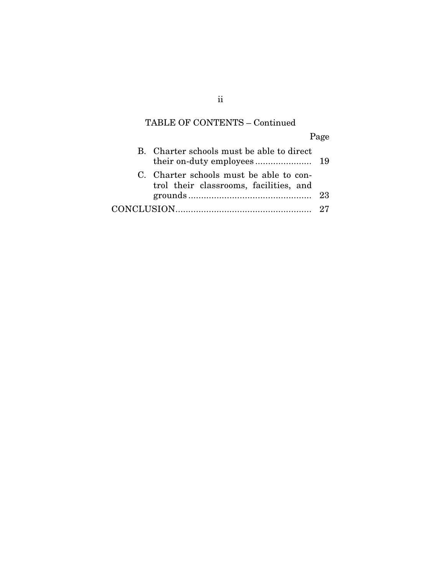# TABLE OF CONTENTS – Continued

Page

| B. Charter schools must be able to direct                                         |    |
|-----------------------------------------------------------------------------------|----|
| C. Charter schools must be able to con-<br>trol their classrooms, facilities, and |    |
|                                                                                   | 23 |
|                                                                                   |    |

ii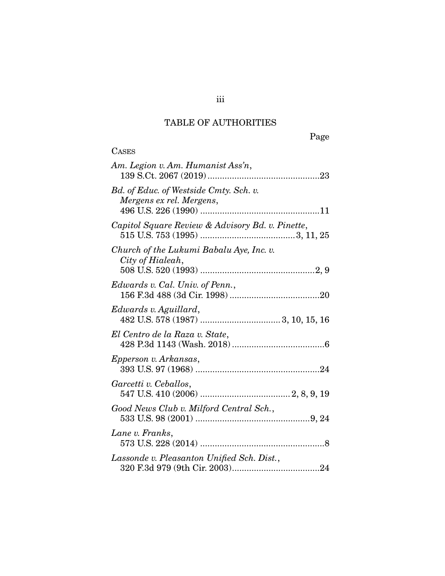## TABLE OF AUTHORITIES

Page

| <b>CASES</b>                                                       |
|--------------------------------------------------------------------|
| Am. Legion v. Am. Humanist Ass'n,                                  |
| Bd. of Educ. of Westside Cmty. Sch. v.<br>Mergens ex rel. Mergens, |
| Capitol Square Review & Advisory Bd. v. Pinette,                   |
| Church of the Lukumi Babalu Aye, Inc. v.<br>City of Hialeah,       |
| Edwards v. Cal. Univ. of Penn.,                                    |
| Edwards v. Aguillard,                                              |
| El Centro de la Raza v. State,                                     |
| Epperson v. Arkansas,                                              |
| Garcetti v. Ceballos,                                              |
| Good News Club v. Milford Central Sch.,                            |
| Lane v. Franks,                                                    |
| Lassonde v. Pleasanton Unified Sch. Dist.,                         |

iii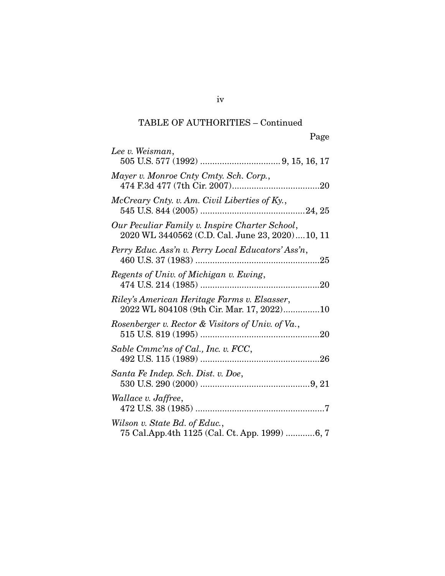## TABLE OF AUTHORITIES – Continued

| Lee v. Weisman,                                                                                   |
|---------------------------------------------------------------------------------------------------|
| Mayer v. Monroe Cnty Cmty. Sch. Corp.,                                                            |
| McCreary Cnty. v. Am. Civil Liberties of Ky.,                                                     |
| Our Peculiar Family v. Inspire Charter School,<br>2020 WL 3440562 (C.D. Cal. June 23, 2020)10, 11 |
| Perry Educ. Ass'n v. Perry Local Educators' Ass'n,                                                |
| Regents of Univ. of Michigan v. Ewing,                                                            |
| Riley's American Heritage Farms v. Elsasser,<br>2022 WL 804108 (9th Cir. Mar. 17, 2022)10         |
| Rosenberger v. Rector & Visitors of Univ. of Va.,                                                 |
| Sable Cmmc'ns of Cal., Inc. v. FCC,                                                               |
| Santa Fe Indep. Sch. Dist. v. Doe,                                                                |
| Wallace v. Jaffree,                                                                               |
| Wilson v. State Bd. of Educ.,<br>75 Cal.App.4th 1125 (Cal. Ct. App. 1999) 6, 7                    |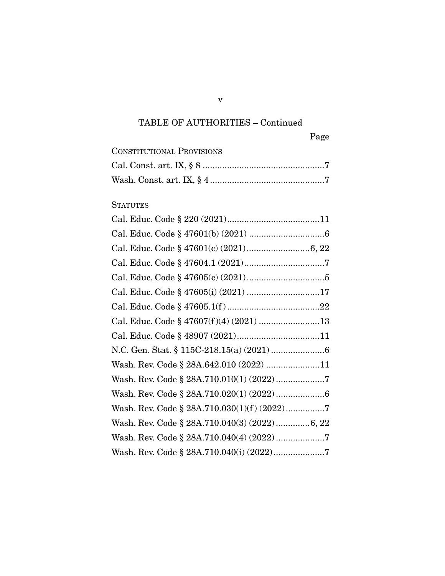# TABLE OF AUTHORITIES – Continued

| <b>CONSTITUTIONAL PROVISIONS</b> |  |
|----------------------------------|--|
|                                  |  |
|                                  |  |

## **STATUTES**

| Cal. Educ. Code § 47605(i) (2021) 17          |
|-----------------------------------------------|
|                                               |
| Cal. Educ. Code § 47607(f)(4) (2021) 13       |
|                                               |
|                                               |
| Wash. Rev. Code § 28A.642.010 (2022) 11       |
| Wash. Rev. Code § 28A.710.010(1) (2022) 7     |
|                                               |
| Wash. Rev. Code § 28A.710.030(1)(f) (2022)7   |
| Wash. Rev. Code § 28A.710.040(3) (2022) 6, 22 |
|                                               |
| Wash. Rev. Code § 28A.710.040(i) (2022) 7     |

v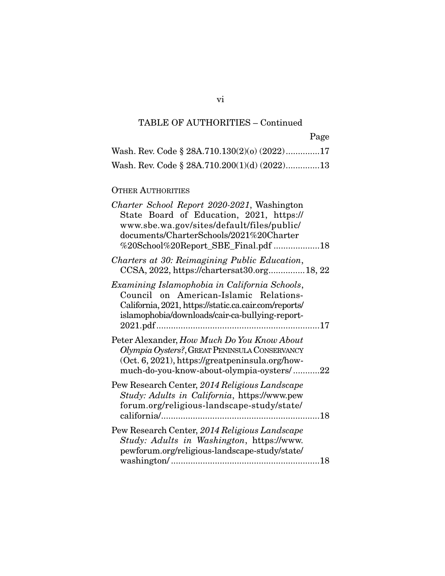## TABLE OF AUTHORITIES – Continued

| Wash. Rev. Code $\S$ 28A.710.130(2)(o) (2022)17 |  |
|-------------------------------------------------|--|
| Wash. Rev. Code $\S$ 28A.710.200(1)(d) (2022)13 |  |

## OTHER AUTHORITIES

| Charter School Report 2020-2021, Washington<br>State Board of Education, 2021, https://<br>www.sbe.wa.gov/sites/default/files/public/<br>documents/CharterSchools/2021%20Charter<br>%20School%20Report_SBE_Final.pdf 18 |  |
|-------------------------------------------------------------------------------------------------------------------------------------------------------------------------------------------------------------------------|--|
| Charters at 30: Reimagining Public Education,<br>CCSA, 2022, https://chartersat30.org 18, 22                                                                                                                            |  |
| Examining Islamophobia in California Schools,<br>Council on American-Islamic Relations-<br>California, 2021, https://static.ca.cair.com/reports/<br>islamophobia/downloads/cair-ca-bullying-report-                     |  |
| Peter Alexander, How Much Do You Know About<br>Olympia Oysters?, GREAT PENINSULA CONSERVANCY<br>$(Oct. 6, 2021)$ , https://greatpeninsula.org/how-<br>much-do-you-know-about-olympia-oysters/22                         |  |
| Pew Research Center, 2014 Religious Landscape<br>Study: Adults in California, https://www.pew<br>forum.org/religious-landscape-study/state/                                                                             |  |
| Pew Research Center, 2014 Religious Landscape<br>Study: Adults in Washington, https://www.<br>pewforum.org/religious-landscape-study/state/                                                                             |  |

## vi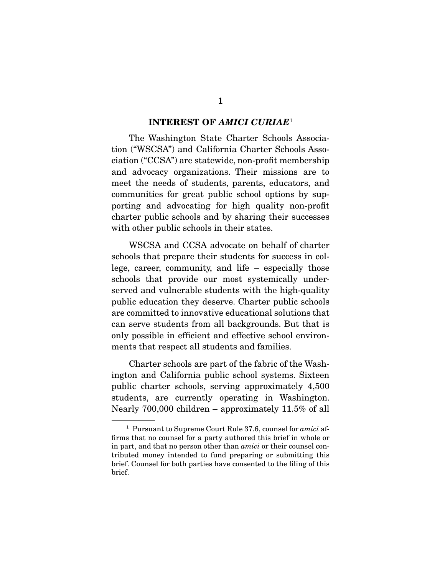#### **INTEREST OF** *AMICI CURIAE*<sup>1</sup>

 The Washington State Charter Schools Association ("WSCSA") and California Charter Schools Association ("CCSA") are statewide, non-profit membership and advocacy organizations. Their missions are to meet the needs of students, parents, educators, and communities for great public school options by supporting and advocating for high quality non-profit charter public schools and by sharing their successes with other public schools in their states.

 WSCSA and CCSA advocate on behalf of charter schools that prepare their students for success in college, career, community, and life – especially those schools that provide our most systemically underserved and vulnerable students with the high-quality public education they deserve. Charter public schools are committed to innovative educational solutions that can serve students from all backgrounds. But that is only possible in efficient and effective school environments that respect all students and families.

 Charter schools are part of the fabric of the Washington and California public school systems. Sixteen public charter schools, serving approximately 4,500 students, are currently operating in Washington. Nearly 700,000 children – approximately 11.5% of all

<sup>&</sup>lt;sup>1</sup> Pursuant to Supreme Court Rule 37.6, counsel for *amici* affirms that no counsel for a party authored this brief in whole or in part, and that no person other than amici or their counsel contributed money intended to fund preparing or submitting this brief. Counsel for both parties have consented to the filing of this brief.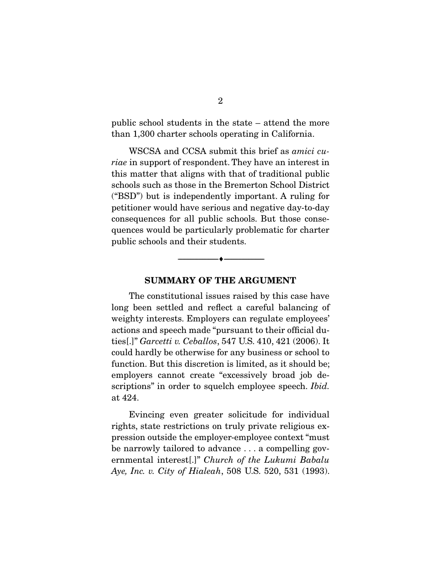public school students in the state – attend the more than 1,300 charter schools operating in California.

 WSCSA and CCSA submit this brief as amici curiae in support of respondent. They have an interest in this matter that aligns with that of traditional public schools such as those in the Bremerton School District ("BSD") but is independently important. A ruling for petitioner would have serious and negative day-to-day consequences for all public schools. But those consequences would be particularly problematic for charter public schools and their students.

#### **SUMMARY OF THE ARGUMENT**

 $\overbrace{\hspace{2.5cm}}^{\bullet}$   $\overbrace{\hspace{2.5cm}}^{\bullet}$ 

 The constitutional issues raised by this case have long been settled and reflect a careful balancing of weighty interests. Employers can regulate employees' actions and speech made "pursuant to their official duties[.]" Garcetti v. Ceballos, 547 U.S. 410, 421 (2006). It could hardly be otherwise for any business or school to function. But this discretion is limited, as it should be; employers cannot create "excessively broad job descriptions" in order to squelch employee speech. *Ibid.* at 424.

 Evincing even greater solicitude for individual rights, state restrictions on truly private religious expression outside the employer-employee context "must be narrowly tailored to advance . . . a compelling governmental interest[.]" Church of the Lukumi Babalu Aye, Inc. v. City of Hialeah, 508 U.S. 520, 531 (1993).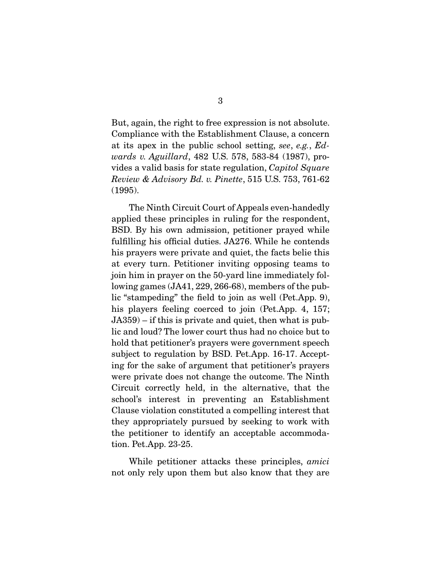But, again, the right to free expression is not absolute. Compliance with the Establishment Clause, a concern at its apex in the public school setting, see, e.g., Edwards v. Aguillard, 482 U.S. 578, 583-84 (1987), provides a valid basis for state regulation, Capitol Square Review & Advisory Bd. v. Pinette, 515 U.S. 753, 761-62 (1995).

 The Ninth Circuit Court of Appeals even-handedly applied these principles in ruling for the respondent, BSD. By his own admission, petitioner prayed while fulfilling his official duties. JA276. While he contends his prayers were private and quiet, the facts belie this at every turn. Petitioner inviting opposing teams to join him in prayer on the 50-yard line immediately following games (JA41, 229, 266-68), members of the public "stampeding" the field to join as well (Pet.App. 9), his players feeling coerced to join (Pet.App. 4, 157; JA359) – if this is private and quiet, then what is public and loud? The lower court thus had no choice but to hold that petitioner's prayers were government speech subject to regulation by BSD. Pet.App. 16-17. Accepting for the sake of argument that petitioner's prayers were private does not change the outcome. The Ninth Circuit correctly held, in the alternative, that the school's interest in preventing an Establishment Clause violation constituted a compelling interest that they appropriately pursued by seeking to work with the petitioner to identify an acceptable accommodation. Pet.App. 23-25.

While petitioner attacks these principles, *amici* not only rely upon them but also know that they are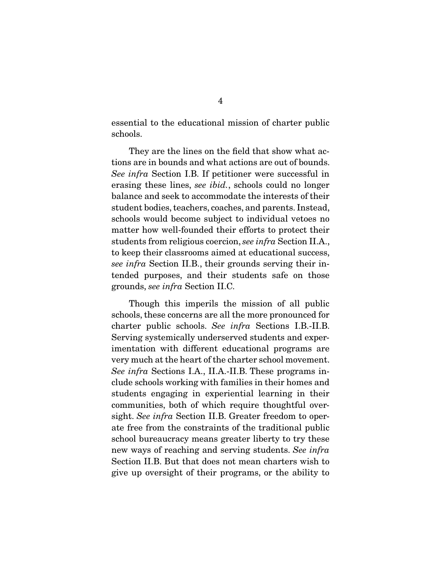essential to the educational mission of charter public schools.

 They are the lines on the field that show what actions are in bounds and what actions are out of bounds. See infra Section I.B. If petitioner were successful in erasing these lines, see *ibid.*, schools could no longer balance and seek to accommodate the interests of their student bodies, teachers, coaches, and parents. Instead, schools would become subject to individual vetoes no matter how well-founded their efforts to protect their students from religious coercion, see infra Section II.A., to keep their classrooms aimed at educational success, see infra Section II.B., their grounds serving their intended purposes, and their students safe on those grounds, see infra Section II.C.

 Though this imperils the mission of all public schools, these concerns are all the more pronounced for charter public schools. See infra Sections I.B.-II.B. Serving systemically underserved students and experimentation with different educational programs are very much at the heart of the charter school movement. See infra Sections I.A., II.A.-II.B. These programs include schools working with families in their homes and students engaging in experiential learning in their communities, both of which require thoughtful oversight. See infra Section II.B. Greater freedom to operate free from the constraints of the traditional public school bureaucracy means greater liberty to try these new ways of reaching and serving students. See infra Section II.B. But that does not mean charters wish to give up oversight of their programs, or the ability to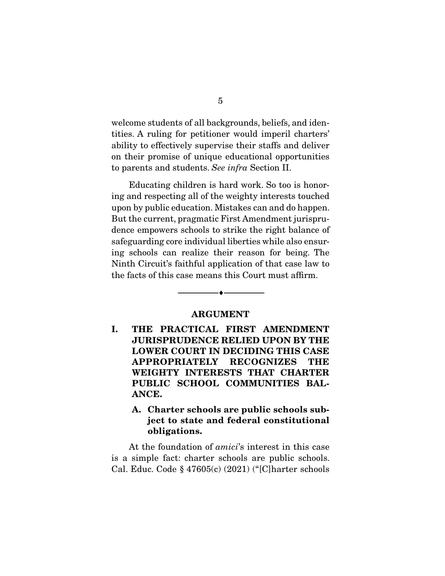welcome students of all backgrounds, beliefs, and identities. A ruling for petitioner would imperil charters' ability to effectively supervise their staffs and deliver on their promise of unique educational opportunities to parents and students. See infra Section II.

 Educating children is hard work. So too is honoring and respecting all of the weighty interests touched upon by public education. Mistakes can and do happen. But the current, pragmatic First Amendment jurisprudence empowers schools to strike the right balance of safeguarding core individual liberties while also ensuring schools can realize their reason for being. The Ninth Circuit's faithful application of that case law to the facts of this case means this Court must affirm.

#### **ARGUMENT**

 $\overbrace{\hspace{2.5cm}}^{\bullet}$   $\overbrace{\hspace{2.5cm}}^{\bullet}$ 

**I. THE PRACTICAL FIRST AMENDMENT JURISPRUDENCE RELIED UPON BY THE LOWER COURT IN DECIDING THIS CASE APPROPRIATELY RECOGNIZES THE WEIGHTY INTERESTS THAT CHARTER PUBLIC SCHOOL COMMUNITIES BAL-ANCE.** 

### **A. Charter schools are public schools subject to state and federal constitutional obligations.**

At the foundation of *amici*'s interest in this case is a simple fact: charter schools are public schools. Cal. Educ. Code § 47605(c) (2021) ("[C]harter schools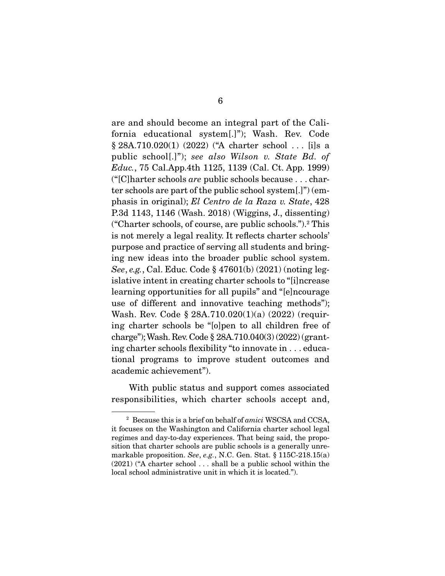are and should become an integral part of the California educational system[.]"); Wash. Rev. Code § 28A.710.020(1) (2022) ("A charter school . . . [i]s a public school[.]"); see also Wilson v. State Bd. of *Educ.*, 75 Cal.App.4th 1125, 1139 (Cal. Ct. App. 1999) ("[C] harter schools *are* public schools because  $\dots$  charter schools are part of the public school system[.]") (emphasis in original); El Centro de la Raza v. State, 428 P.3d 1143, 1146 (Wash. 2018) (Wiggins, J., dissenting) ("Charter schools, of course, are public schools.").2 This is not merely a legal reality. It reflects charter schools' purpose and practice of serving all students and bringing new ideas into the broader public school system. See, e.g., Cal. Educ. Code § 47601(b) (2021) (noting legislative intent in creating charter schools to "[i]ncrease learning opportunities for all pupils" and "[e]ncourage use of different and innovative teaching methods"); Wash. Rev. Code § 28A.710.020(1)(a) (2022) (requiring charter schools be "[o]pen to all children free of charge"); Wash. Rev. Code § 28A.710.040(3) (2022) (granting charter schools flexibility "to innovate in . . . educational programs to improve student outcomes and academic achievement").

 With public status and support comes associated responsibilities, which charter schools accept and,

 $2$  Because this is a brief on behalf of amici WSCSA and CCSA, it focuses on the Washington and California charter school legal regimes and day-to-day experiences. That being said, the proposition that charter schools are public schools is a generally unremarkable proposition. See, e.g., N.C. Gen. Stat. § 115C-218.15(a) (2021) ("A charter school . . . shall be a public school within the local school administrative unit in which it is located.").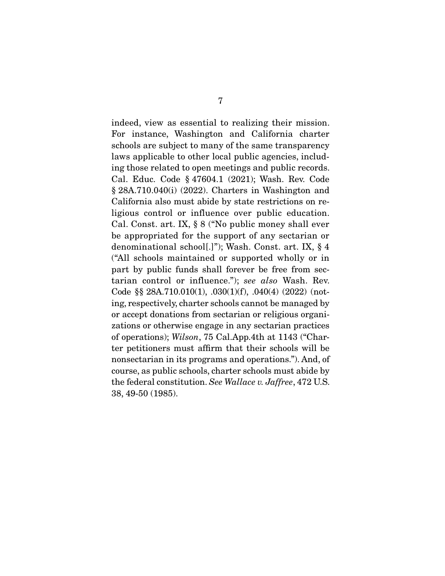indeed, view as essential to realizing their mission. For instance, Washington and California charter schools are subject to many of the same transparency laws applicable to other local public agencies, including those related to open meetings and public records. Cal. Educ. Code § 47604.1 (2021); Wash. Rev. Code § 28A.710.040(i) (2022). Charters in Washington and California also must abide by state restrictions on religious control or influence over public education. Cal. Const. art. IX, § 8 ("No public money shall ever be appropriated for the support of any sectarian or denominational school[.]"); Wash. Const. art. IX, § 4 ("All schools maintained or supported wholly or in part by public funds shall forever be free from sectarian control or influence."); see also Wash. Rev. Code §§ 28A.710.010(1), .030(1)(f), .040(4) (2022) (noting, respectively, charter schools cannot be managed by or accept donations from sectarian or religious organizations or otherwise engage in any sectarian practices of operations); Wilson, 75 Cal.App.4th at 1143 ("Charter petitioners must affirm that their schools will be nonsectarian in its programs and operations."). And, of course, as public schools, charter schools must abide by the federal constitution. See Wallace v. Jaffree, 472 U.S. 38, 49-50 (1985).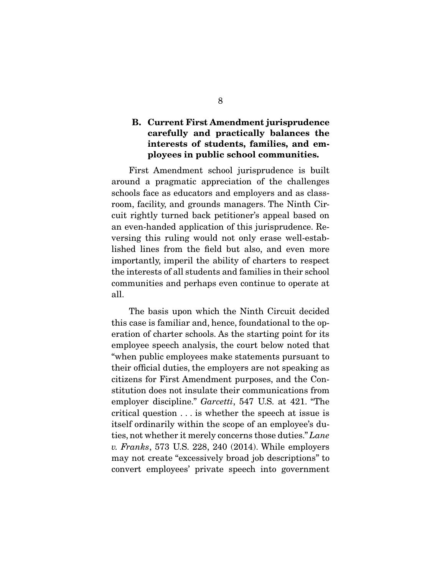### **B. Current First Amendment jurisprudence carefully and practically balances the interests of students, families, and employees in public school communities.**

 First Amendment school jurisprudence is built around a pragmatic appreciation of the challenges schools face as educators and employers and as classroom, facility, and grounds managers. The Ninth Circuit rightly turned back petitioner's appeal based on an even-handed application of this jurisprudence. Reversing this ruling would not only erase well-established lines from the field but also, and even more importantly, imperil the ability of charters to respect the interests of all students and families in their school communities and perhaps even continue to operate at all.

 The basis upon which the Ninth Circuit decided this case is familiar and, hence, foundational to the operation of charter schools. As the starting point for its employee speech analysis, the court below noted that "when public employees make statements pursuant to their official duties, the employers are not speaking as citizens for First Amendment purposes, and the Constitution does not insulate their communications from employer discipline." Garcetti, 547 U.S. at 421. "The critical question . . . is whether the speech at issue is itself ordinarily within the scope of an employee's duties, not whether it merely concerns those duties." Lane v. Franks, 573 U.S. 228, 240 (2014). While employers may not create "excessively broad job descriptions" to convert employees' private speech into government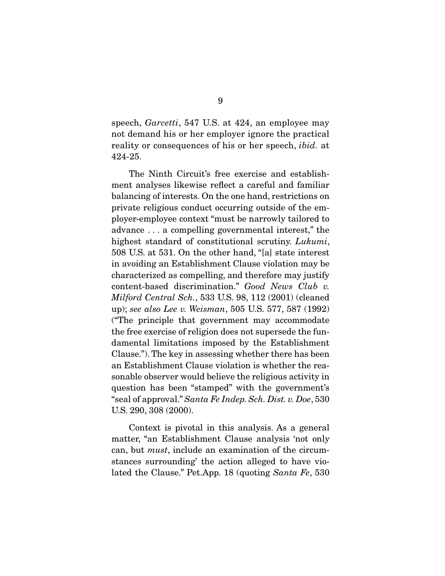speech, *Garcetti*, 547 U.S. at 424, an employee may not demand his or her employer ignore the practical reality or consequences of his or her speech, ibid. at 424-25.

 The Ninth Circuit's free exercise and establishment analyses likewise reflect a careful and familiar balancing of interests. On the one hand, restrictions on private religious conduct occurring outside of the employer-employee context "must be narrowly tailored to advance . . . a compelling governmental interest," the highest standard of constitutional scrutiny. Lukumi, 508 U.S. at 531. On the other hand, "[a] state interest in avoiding an Establishment Clause violation may be characterized as compelling, and therefore may justify content-based discrimination." Good News Club v. Milford Central Sch., 533 U.S. 98, 112 (2001) (cleaned up); see also Lee v. Weisman, 505 U.S. 577, 587 (1992) ("The principle that government may accommodate the free exercise of religion does not supersede the fundamental limitations imposed by the Establishment Clause."). The key in assessing whether there has been an Establishment Clause violation is whether the reasonable observer would believe the religious activity in question has been "stamped" with the government's "seal of approval." Santa Fe Indep. Sch. Dist. v. Doe, 530 U.S. 290, 308 (2000).

 Context is pivotal in this analysis. As a general matter, "an Establishment Clause analysis 'not only can, but must, include an examination of the circumstances surrounding' the action alleged to have violated the Clause." Pet.App. 18 (quoting Santa Fe, 530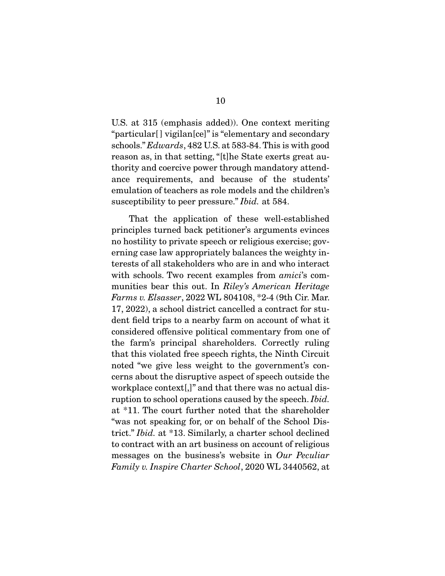U.S. at 315 (emphasis added)). One context meriting "particular[ ] vigilan[ce]" is "elementary and secondary schools." Edwards, 482 U.S. at 583-84. This is with good reason as, in that setting, "[t]he State exerts great authority and coercive power through mandatory attendance requirements, and because of the students' emulation of teachers as role models and the children's susceptibility to peer pressure." *Ibid.* at 584.

 That the application of these well-established principles turned back petitioner's arguments evinces no hostility to private speech or religious exercise; governing case law appropriately balances the weighty interests of all stakeholders who are in and who interact with schools. Two recent examples from *amici*'s communities bear this out. In Riley's American Heritage Farms v. Elsasser, 2022 WL 804108, \*2-4 (9th Cir. Mar. 17, 2022), a school district cancelled a contract for student field trips to a nearby farm on account of what it considered offensive political commentary from one of the farm's principal shareholders. Correctly ruling that this violated free speech rights, the Ninth Circuit noted "we give less weight to the government's concerns about the disruptive aspect of speech outside the workplace context[,]" and that there was no actual disruption to school operations caused by the speech. *Ibid.* at \*11. The court further noted that the shareholder "was not speaking for, or on behalf of the School District." Ibid. at \*13. Similarly, a charter school declined to contract with an art business on account of religious messages on the business's website in Our Peculiar Family v. Inspire Charter School, 2020 WL 3440562, at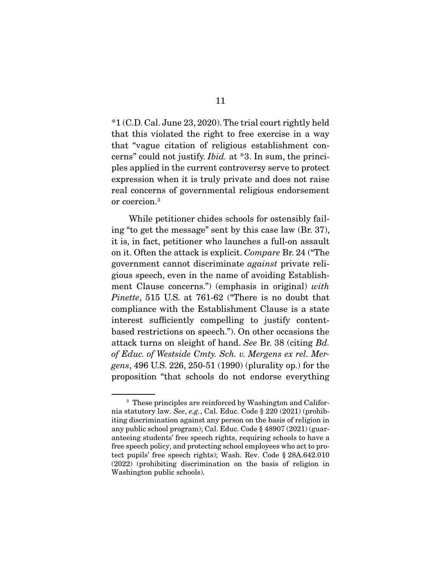\*1 (C.D. Cal. June 23, 2020). The trial court rightly held that this violated the right to free exercise in a way that "vague citation of religious establishment concerns" could not justify. Ibid. at \*3. In sum, the principles applied in the current controversy serve to protect expression when it is truly private and does not raise real concerns of governmental religious endorsement or coercion.3

 While petitioner chides schools for ostensibly failing "to get the message" sent by this case law (Br. 37), it is, in fact, petitioner who launches a full-on assault on it. Often the attack is explicit. Compare Br. 24 ("The government cannot discriminate against private religious speech, even in the name of avoiding Establishment Clause concerns.") (emphasis in original) with Pinette, 515 U.S. at 761-62 ("There is no doubt that compliance with the Establishment Clause is a state interest sufficiently compelling to justify contentbased restrictions on speech."). On other occasions the attack turns on sleight of hand. See Br. 38 (citing Bd. of Educ. of Westside Cmty. Sch. v. Mergens ex rel. Mergens, 496 U.S. 226, 250-51 (1990) (plurality op.) for the proposition "that schools do not endorse everything

<sup>3</sup> These principles are reinforced by Washington and California statutory law. See, e.g., Cal. Educ. Code § 220 (2021) (prohibiting discrimination against any person on the basis of religion in any public school program); Cal. Educ. Code § 48907 (2021) (guaranteeing students' free speech rights, requiring schools to have a free speech policy, and protecting school employees who act to protect pupils' free speech rights); Wash. Rev. Code § 28A.642.010 (2022) (prohibiting discrimination on the basis of religion in Washington public schools).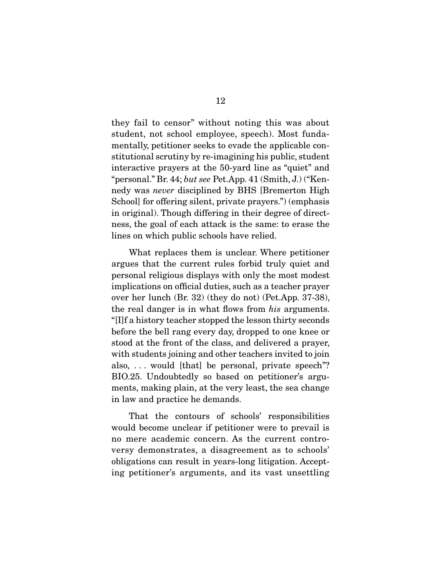they fail to censor" without noting this was about student, not school employee, speech). Most fundamentally, petitioner seeks to evade the applicable constitutional scrutiny by re-imagining his public, student interactive prayers at the 50-yard line as "quiet" and "personal." Br. 44; but see Pet.App. 41  $(Smith, J)$  ("Kennedy was never disciplined by BHS [Bremerton High School] for offering silent, private prayers.") (emphasis in original). Though differing in their degree of directness, the goal of each attack is the same: to erase the lines on which public schools have relied.

 What replaces them is unclear. Where petitioner argues that the current rules forbid truly quiet and personal religious displays with only the most modest implications on official duties, such as a teacher prayer over her lunch (Br. 32) (they do not) (Pet.App. 37-38), the real danger is in what flows from his arguments. "[I]f a history teacher stopped the lesson thirty seconds before the bell rang every day, dropped to one knee or stood at the front of the class, and delivered a prayer, with students joining and other teachers invited to join also,  $\ldots$  would [that] be personal, private speech"? BIO.25. Undoubtedly so based on petitioner's arguments, making plain, at the very least, the sea change in law and practice he demands.

 That the contours of schools' responsibilities would become unclear if petitioner were to prevail is no mere academic concern. As the current controversy demonstrates, a disagreement as to schools' obligations can result in years-long litigation. Accepting petitioner's arguments, and its vast unsettling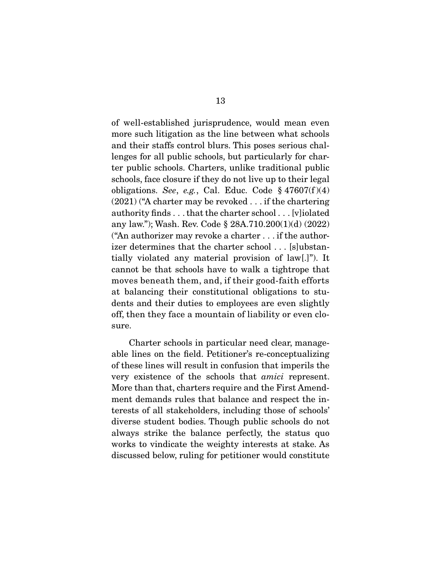of well-established jurisprudence, would mean even more such litigation as the line between what schools and their staffs control blurs. This poses serious challenges for all public schools, but particularly for charter public schools. Charters, unlike traditional public schools, face closure if they do not live up to their legal obligations. See, e.g., Cal. Educ. Code  $\S 47607(f)(4)$ (2021) ("A charter may be revoked . . . if the chartering authority finds . . . that the charter school . . . [v]iolated any law."); Wash. Rev. Code § 28A.710.200(1)(d) (2022) ("An authorizer may revoke a charter . . . if the authorizer determines that the charter school . . . [s]ubstantially violated any material provision of law[.]"). It cannot be that schools have to walk a tightrope that moves beneath them, and, if their good-faith efforts at balancing their constitutional obligations to students and their duties to employees are even slightly off, then they face a mountain of liability or even closure.

 Charter schools in particular need clear, manageable lines on the field. Petitioner's re-conceptualizing of these lines will result in confusion that imperils the very existence of the schools that amici represent. More than that, charters require and the First Amendment demands rules that balance and respect the interests of all stakeholders, including those of schools' diverse student bodies. Though public schools do not always strike the balance perfectly, the status quo works to vindicate the weighty interests at stake. As discussed below, ruling for petitioner would constitute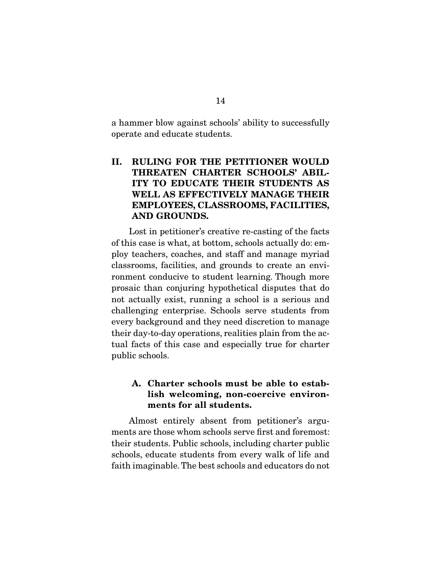a hammer blow against schools' ability to successfully operate and educate students.

## **II. RULING FOR THE PETITIONER WOULD THREATEN CHARTER SCHOOLS' ABIL-ITY TO EDUCATE THEIR STUDENTS AS WELL AS EFFECTIVELY MANAGE THEIR EMPLOYEES, CLASSROOMS, FACILITIES, AND GROUNDS.**

 Lost in petitioner's creative re-casting of the facts of this case is what, at bottom, schools actually do: employ teachers, coaches, and staff and manage myriad classrooms, facilities, and grounds to create an environment conducive to student learning. Though more prosaic than conjuring hypothetical disputes that do not actually exist, running a school is a serious and challenging enterprise. Schools serve students from every background and they need discretion to manage their day-to-day operations, realities plain from the actual facts of this case and especially true for charter public schools.

### **A. Charter schools must be able to establish welcoming, non-coercive environments for all students.**

 Almost entirely absent from petitioner's arguments are those whom schools serve first and foremost: their students. Public schools, including charter public schools, educate students from every walk of life and faith imaginable. The best schools and educators do not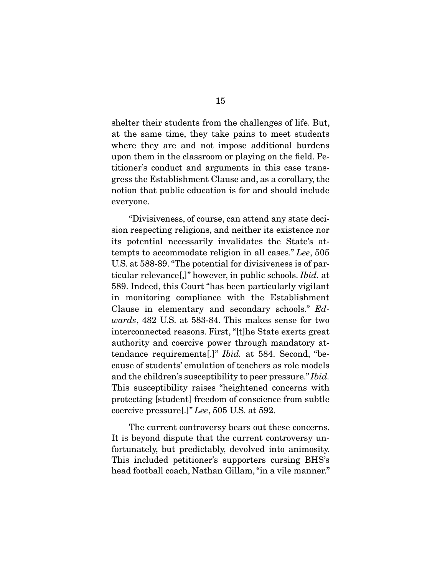shelter their students from the challenges of life. But, at the same time, they take pains to meet students where they are and not impose additional burdens upon them in the classroom or playing on the field. Petitioner's conduct and arguments in this case transgress the Establishment Clause and, as a corollary, the notion that public education is for and should include everyone.

 "Divisiveness, of course, can attend any state decision respecting religions, and neither its existence nor its potential necessarily invalidates the State's attempts to accommodate religion in all cases." Lee, 505 U.S. at 588-89. "The potential for divisiveness is of particular relevance[,]" however, in public schools. Ibid. at 589. Indeed, this Court "has been particularly vigilant in monitoring compliance with the Establishment Clause in elementary and secondary schools." Edwards, 482 U.S. at 583-84. This makes sense for two interconnected reasons. First, "[t]he State exerts great authority and coercive power through mandatory attendance requirements[.]" Ibid. at 584. Second, "because of students' emulation of teachers as role models and the children's susceptibility to peer pressure." Ibid. This susceptibility raises "heightened concerns with protecting [student] freedom of conscience from subtle coercive pressure[.]" Lee, 505 U.S. at 592.

 The current controversy bears out these concerns. It is beyond dispute that the current controversy unfortunately, but predictably, devolved into animosity. This included petitioner's supporters cursing BHS's head football coach, Nathan Gillam, "in a vile manner."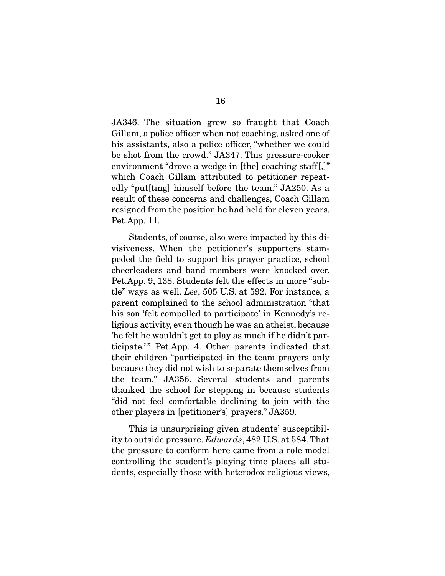JA346. The situation grew so fraught that Coach Gillam, a police officer when not coaching, asked one of his assistants, also a police officer, "whether we could be shot from the crowd." JA347. This pressure-cooker environment "drove a wedge in [the] coaching staff.]" which Coach Gillam attributed to petitioner repeatedly "put[ting] himself before the team." JA250. As a result of these concerns and challenges, Coach Gillam resigned from the position he had held for eleven years. Pet.App. 11.

 Students, of course, also were impacted by this divisiveness. When the petitioner's supporters stampeded the field to support his prayer practice, school cheerleaders and band members were knocked over. Pet.App. 9, 138. Students felt the effects in more "subtle" ways as well. Lee, 505 U.S. at 592. For instance, a parent complained to the school administration "that his son 'felt compelled to participate' in Kennedy's religious activity, even though he was an atheist, because 'he felt he wouldn't get to play as much if he didn't participate.'" Pet.App. 4. Other parents indicated that their children "participated in the team prayers only because they did not wish to separate themselves from the team." JA356. Several students and parents thanked the school for stepping in because students "did not feel comfortable declining to join with the other players in [petitioner's] prayers." JA359.

 This is unsurprising given students' susceptibility to outside pressure. Edwards, 482 U.S. at 584. That the pressure to conform here came from a role model controlling the student's playing time places all students, especially those with heterodox religious views,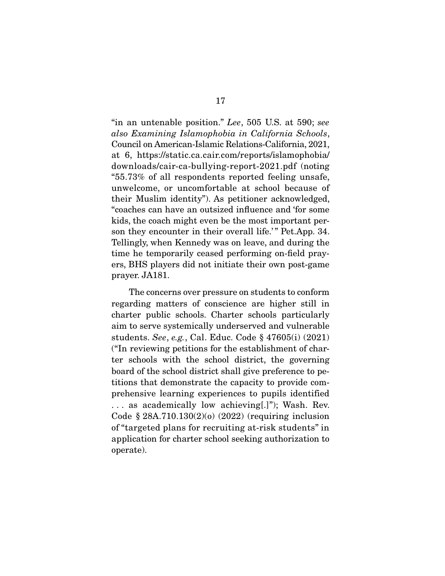"in an untenable position." Lee, 505 U.S. at 590; see also Examining Islamophobia in California Schools, Council on American-Islamic Relations-California, 2021, at 6, https://static.ca.cair.com/reports/islamophobia/ downloads/cair-ca-bullying-report-2021.pdf (noting "55.73% of all respondents reported feeling unsafe, unwelcome, or uncomfortable at school because of their Muslim identity"). As petitioner acknowledged, "coaches can have an outsized influence and 'for some kids, the coach might even be the most important person they encounter in their overall life.'" Pet.App. 34. Tellingly, when Kennedy was on leave, and during the time he temporarily ceased performing on-field prayers, BHS players did not initiate their own post-game prayer. JA181.

 The concerns over pressure on students to conform regarding matters of conscience are higher still in charter public schools. Charter schools particularly aim to serve systemically underserved and vulnerable students. See, e.g., Cal. Educ. Code § 47605(i) (2021) ("In reviewing petitions for the establishment of charter schools with the school district, the governing board of the school district shall give preference to petitions that demonstrate the capacity to provide comprehensive learning experiences to pupils identified . . . as academically low achieving[.]"); Wash. Rev. Code § 28A.710.130(2)(o) (2022) (requiring inclusion of "targeted plans for recruiting at-risk students" in application for charter school seeking authorization to operate).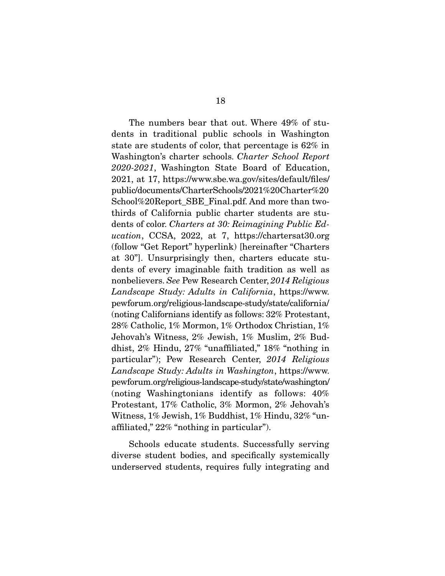The numbers bear that out. Where 49% of students in traditional public schools in Washington state are students of color, that percentage is 62% in Washington's charter schools. Charter School Report 2020-2021, Washington State Board of Education, 2021, at 17, https://www.sbe.wa.gov/sites/default/files/ public/documents/CharterSchools/2021%20Charter%20 School%20Report\_SBE\_Final.pdf. And more than twothirds of California public charter students are students of color. Charters at 30: Reimagining Public Education, CCSA, 2022, at 7, https://chartersat30.org (follow "Get Report" hyperlink) [hereinafter "Charters at 30"]. Unsurprisingly then, charters educate students of every imaginable faith tradition as well as nonbelievers. See Pew Research Center, 2014 Religious Landscape Study: Adults in California, https://www. pewforum.org/religious-landscape-study/state/california/ (noting Californians identify as follows: 32% Protestant, 28% Catholic, 1% Mormon, 1% Orthodox Christian, 1% Jehovah's Witness, 2% Jewish, 1% Muslim, 2% Buddhist, 2% Hindu, 27% "unaffiliated," 18% "nothing in particular"); Pew Research Center, 2014 Religious Landscape Study: Adults in Washington, https://www. pewforum.org/religious-landscape-study/state/washington/ (noting Washingtonians identify as follows: 40% Protestant, 17% Catholic, 3% Mormon, 2% Jehovah's Witness, 1% Jewish, 1% Buddhist, 1% Hindu, 32% "unaffiliated," 22% "nothing in particular").

 Schools educate students. Successfully serving diverse student bodies, and specifically systemically underserved students, requires fully integrating and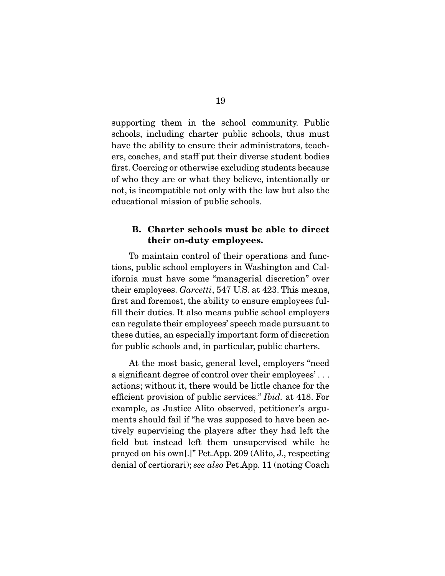supporting them in the school community. Public schools, including charter public schools, thus must have the ability to ensure their administrators, teachers, coaches, and staff put their diverse student bodies first. Coercing or otherwise excluding students because of who they are or what they believe, intentionally or not, is incompatible not only with the law but also the educational mission of public schools.

#### **B. Charter schools must be able to direct their on-duty employees.**

 To maintain control of their operations and functions, public school employers in Washington and California must have some "managerial discretion" over their employees. Garcetti, 547 U.S. at 423. This means, first and foremost, the ability to ensure employees fulfill their duties. It also means public school employers can regulate their employees' speech made pursuant to these duties, an especially important form of discretion for public schools and, in particular, public charters.

 At the most basic, general level, employers "need a significant degree of control over their employees' . . . actions; without it, there would be little chance for the efficient provision of public services." Ibid. at 418. For example, as Justice Alito observed, petitioner's arguments should fail if "he was supposed to have been actively supervising the players after they had left the field but instead left them unsupervised while he prayed on his own[.]" Pet.App. 209 (Alito, J., respecting denial of certiorari); see also Pet.App. 11 (noting Coach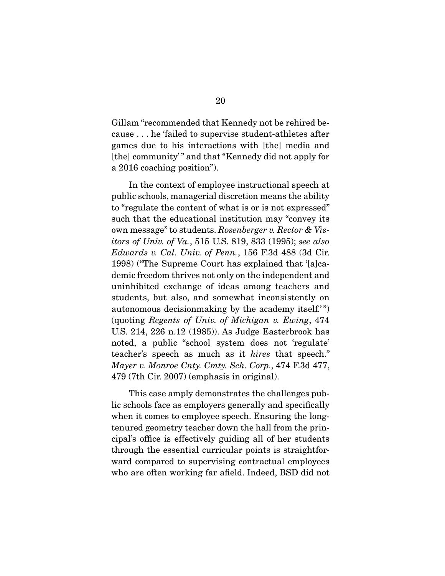Gillam "recommended that Kennedy not be rehired because . . . he 'failed to supervise student-athletes after games due to his interactions with [the] media and [the] community' " and that "Kennedy did not apply for a 2016 coaching position").

 In the context of employee instructional speech at public schools, managerial discretion means the ability to "regulate the content of what is or is not expressed" such that the educational institution may "convey its own message" to students. Rosenberger v. Rector & Visitors of Univ. of Va., 515 U.S. 819, 833 (1995); see also Edwards v. Cal. Univ. of Penn., 156 F.3d 488 (3d Cir. 1998) ("The Supreme Court has explained that '[a]cademic freedom thrives not only on the independent and uninhibited exchange of ideas among teachers and students, but also, and somewhat inconsistently on autonomous decision making by the academy itself." (quoting Regents of Univ. of Michigan v. Ewing, 474 U.S. 214, 226 n.12 (1985)). As Judge Easterbrook has noted, a public "school system does not 'regulate' teacher's speech as much as it hires that speech." Mayer v. Monroe Cnty. Cmty. Sch. Corp., 474 F.3d 477, 479 (7th Cir. 2007) (emphasis in original).

 This case amply demonstrates the challenges public schools face as employers generally and specifically when it comes to employee speech. Ensuring the longtenured geometry teacher down the hall from the principal's office is effectively guiding all of her students through the essential curricular points is straightforward compared to supervising contractual employees who are often working far afield. Indeed, BSD did not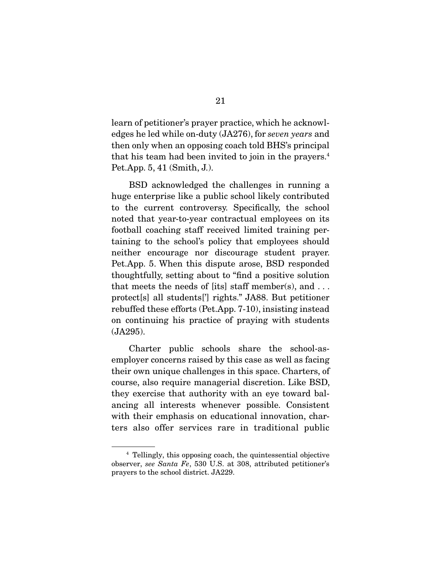learn of petitioner's prayer practice, which he acknowledges he led while on-duty (JA276), for seven years and then only when an opposing coach told BHS's principal that his team had been invited to join in the prayers.4 Pet.App. 5, 41 (Smith, J.).

 BSD acknowledged the challenges in running a huge enterprise like a public school likely contributed to the current controversy. Specifically, the school noted that year-to-year contractual employees on its football coaching staff received limited training pertaining to the school's policy that employees should neither encourage nor discourage student prayer. Pet.App. 5. When this dispute arose, BSD responded thoughtfully, setting about to "find a positive solution that meets the needs of [its] staff member(s), and  $\dots$ protect[s] all students['] rights." JA88. But petitioner rebuffed these efforts (Pet.App. 7-10), insisting instead on continuing his practice of praying with students (JA295).

 Charter public schools share the school-asemployer concerns raised by this case as well as facing their own unique challenges in this space. Charters, of course, also require managerial discretion. Like BSD, they exercise that authority with an eye toward balancing all interests whenever possible. Consistent with their emphasis on educational innovation, charters also offer services rare in traditional public

<sup>4</sup> Tellingly, this opposing coach, the quintessential objective observer, see Santa Fe, 530 U.S. at 308, attributed petitioner's prayers to the school district. JA229.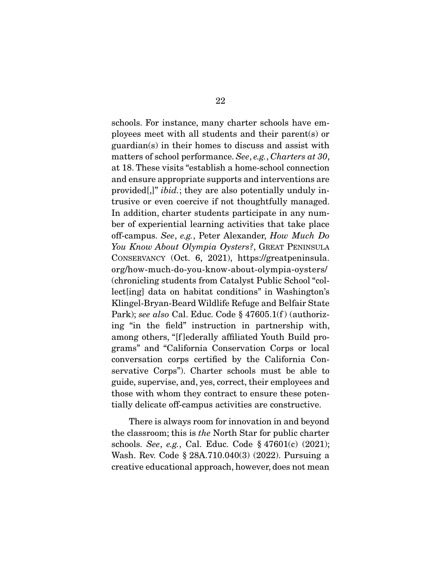schools. For instance, many charter schools have employees meet with all students and their parent(s) or guardian(s) in their homes to discuss and assist with matters of school performance. See, e.g., Charters at 30, at 18. These visits "establish a home-school connection and ensure appropriate supports and interventions are provided[,]" ibid.; they are also potentially unduly intrusive or even coercive if not thoughtfully managed. In addition, charter students participate in any number of experiential learning activities that take place off-campus. See, e.g., Peter Alexander, How Much Do You Know About Olympia Oysters?, GREAT PENINSULA CONSERVANCY (Oct. 6, 2021), https://greatpeninsula. org/how-much-do-you-know-about-olympia-oysters/ (chronicling students from Catalyst Public School "collect[ing] data on habitat conditions" in Washington's Klingel-Bryan-Beard Wildlife Refuge and Belfair State Park); see also Cal. Educ. Code § 47605.1(f) (authorizing "in the field" instruction in partnership with, among others, "[f ]ederally affiliated Youth Build programs" and "California Conservation Corps or local conversation corps certified by the California Conservative Corps"). Charter schools must be able to guide, supervise, and, yes, correct, their employees and those with whom they contract to ensure these potentially delicate off-campus activities are constructive.

 There is always room for innovation in and beyond the classroom; this is the North Star for public charter schools. See, e.g., Cal. Educ. Code § 47601(c) (2021); Wash. Rev. Code § 28A.710.040(3) (2022). Pursuing a creative educational approach, however, does not mean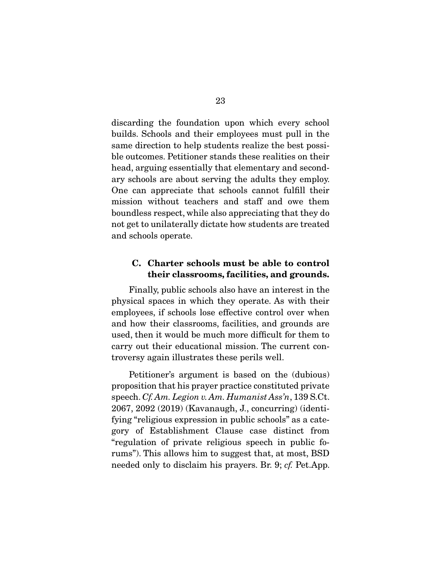discarding the foundation upon which every school builds. Schools and their employees must pull in the same direction to help students realize the best possible outcomes. Petitioner stands these realities on their head, arguing essentially that elementary and secondary schools are about serving the adults they employ. One can appreciate that schools cannot fulfill their mission without teachers and staff and owe them boundless respect, while also appreciating that they do not get to unilaterally dictate how students are treated and schools operate.

#### **C. Charter schools must be able to control their classrooms, facilities, and grounds.**

 Finally, public schools also have an interest in the physical spaces in which they operate. As with their employees, if schools lose effective control over when and how their classrooms, facilities, and grounds are used, then it would be much more difficult for them to carry out their educational mission. The current controversy again illustrates these perils well.

 Petitioner's argument is based on the (dubious) proposition that his prayer practice constituted private speech. Cf. Am. Legion v. Am. Humanist Ass'n, 139 S.Ct. 2067, 2092 (2019) (Kavanaugh, J., concurring) (identifying "religious expression in public schools" as a category of Establishment Clause case distinct from "regulation of private religious speech in public forums"). This allows him to suggest that, at most, BSD needed only to disclaim his prayers. Br. 9; cf. Pet.App.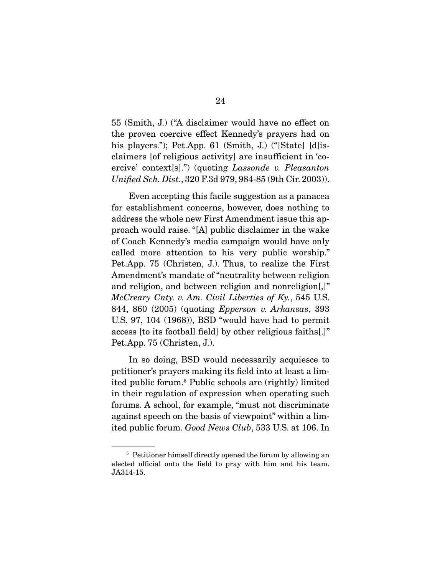55 (Smith, J.) ("A disclaimer would have no effect on the proven coercive effect Kennedy's prayers had on his players."); Pet.App. 61 (Smith, J.) ("[State] [d] isclaimers [of religious activity] are insufficient in 'coercive' context[s].") (quoting Lassonde v. Pleasanton Unified Sch. Dist., 320 F.3d 979, 984-85 (9th Cir. 2003)).

 Even accepting this facile suggestion as a panacea for establishment concerns, however, does nothing to address the whole new First Amendment issue this approach would raise. "[A] public disclaimer in the wake of Coach Kennedy's media campaign would have only called more attention to his very public worship." Pet.App. 75 (Christen, J.). Thus, to realize the First Amendment's mandate of "neutrality between religion and religion, and between religion and nonreligion[,]" McCreary Cnty. v. Am. Civil Liberties of Ky., 545 U.S. 844, 860 (2005) (quoting Epperson v. Arkansas, 393 U.S. 97, 104 (1968)), BSD "would have had to permit access [to its football field] by other religious faiths[.]" Pet.App. 75 (Christen, J.).

 In so doing, BSD would necessarily acquiesce to petitioner's prayers making its field into at least a limited public forum.5 Public schools are (rightly) limited in their regulation of expression when operating such forums. A school, for example, "must not discriminate against speech on the basis of viewpoint" within a limited public forum. Good News Club, 533 U.S. at 106. In

<sup>&</sup>lt;sup>5</sup> Petitioner himself directly opened the forum by allowing an elected official onto the field to pray with him and his team. JA314-15.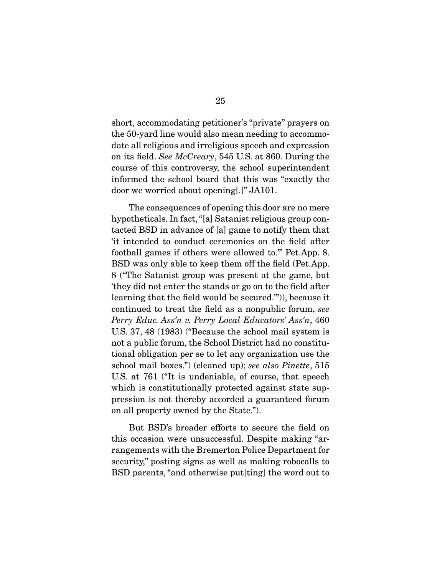short, accommodating petitioner's "private" prayers on the 50-yard line would also mean needing to accommodate all religious and irreligious speech and expression on its field. See McCreary, 545 U.S. at 860. During the course of this controversy, the school superintendent informed the school board that this was "exactly the door we worried about opening[.]" JA101.

 The consequences of opening this door are no mere hypotheticals. In fact, "[a] Satanist religious group contacted BSD in advance of [a] game to notify them that 'it intended to conduct ceremonies on the field after football games if others were allowed to.'" Pet.App. 8. BSD was only able to keep them off the field (Pet.App. 8 ("The Satanist group was present at the game, but 'they did not enter the stands or go on to the field after learning that the field would be secured.'")), because it continued to treat the field as a nonpublic forum, see Perry Educ. Ass'n v. Perry Local Educators' Ass'n, 460 U.S. 37, 48 (1983) ("Because the school mail system is not a public forum, the School District had no constitutional obligation per se to let any organization use the school mail boxes.") (cleaned up); see also Pinette, 515 U.S. at 761 ("It is undeniable, of course, that speech which is constitutionally protected against state suppression is not thereby accorded a guaranteed forum on all property owned by the State.").

 But BSD's broader efforts to secure the field on this occasion were unsuccessful. Despite making "arrangements with the Bremerton Police Department for security," posting signs as well as making robocalls to BSD parents, "and otherwise put[ting] the word out to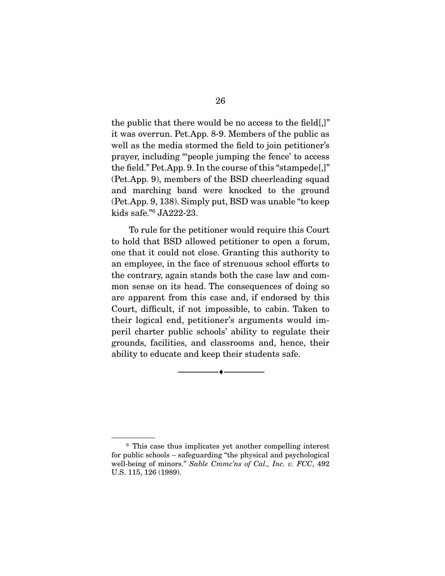the public that there would be no access to the field[,]" it was overrun. Pet.App. 8-9. Members of the public as well as the media stormed the field to join petitioner's prayer, including "'people jumping the fence' to access the field." Pet.App. 9. In the course of this "stampede[,]" (Pet.App. 9), members of the BSD cheerleading squad and marching band were knocked to the ground (Pet.App. 9, 138). Simply put, BSD was unable "to keep kids safe."6 JA222-23.

 To rule for the petitioner would require this Court to hold that BSD allowed petitioner to open a forum, one that it could not close. Granting this authority to an employee, in the face of strenuous school efforts to the contrary, again stands both the case law and common sense on its head. The consequences of doing so are apparent from this case and, if endorsed by this Court, difficult, if not impossible, to cabin. Taken to their logical end, petitioner's arguments would imperil charter public schools' ability to regulate their grounds, facilities, and classrooms and, hence, their ability to educate and keep their students safe.

--------------------------------- ♦ ---------------------------------

<sup>6</sup> This case thus implicates yet another compelling interest for public schools – safeguarding "the physical and psychological well-being of minors." Sable Cmmc'ns of Cal., Inc. v. FCC, 492 U.S. 115, 126 (1989).